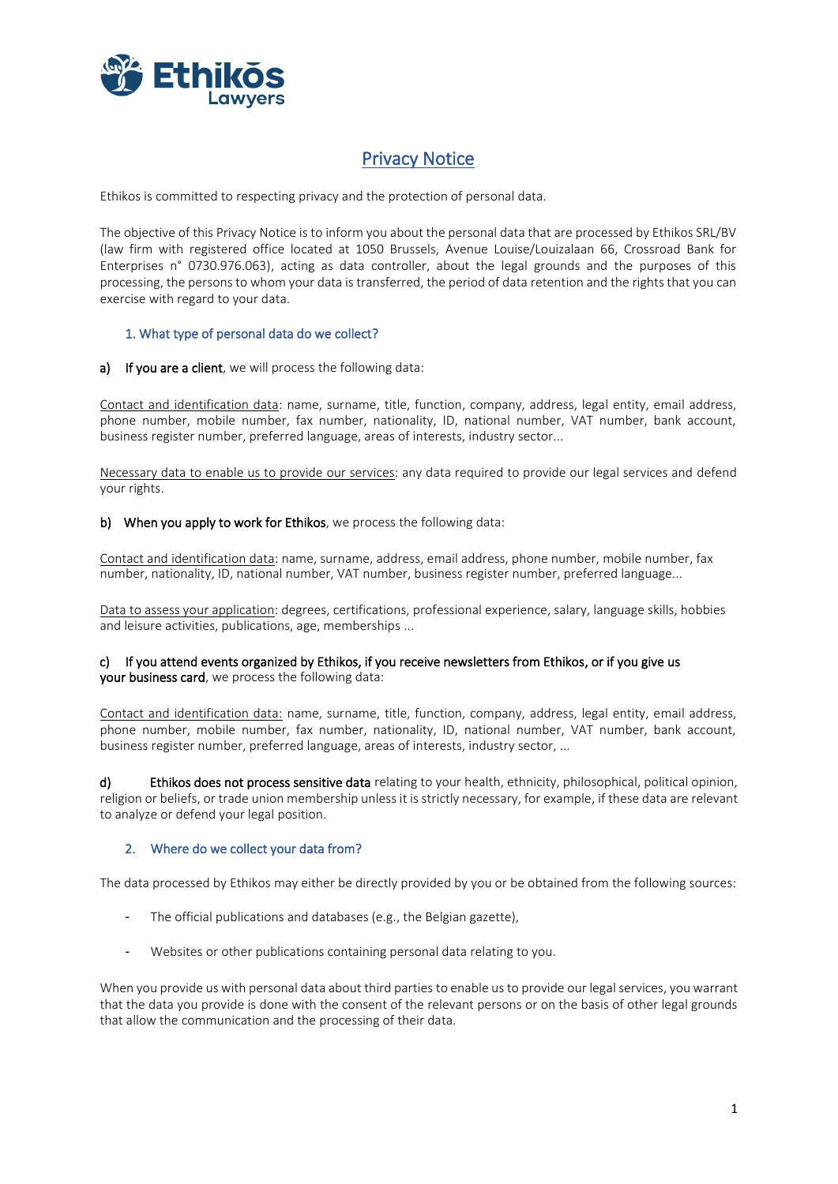

# Privacy Notice

Ethikos is committed to respecting privacy and the protection of personal data.

The objective of this Privacy Notice is to inform you about the personal data that are processed by Ethikos SRL/BV (law firm with registered office located at 1050 Brussels, Avenue Louise/Louizalaan 66, Crossroad Bank for Enterprises n° 0730.976.063), acting as data controller, about the legal grounds and the purposes of this processing, the persons to whom your data is transferred, the period of data retention and the rights that you can exercise with regard to your data.

# 1. What type of personal data do we collect?

a) If you are a client, we will process the following data:

Contact and identification data: name, surname, title, function, company, address, legal entity, email address, phone number, mobile number, fax number, nationality, ID, national number, VAT number, bank account, business register number, preferred language, areas of interests, industry sector...

Necessary data to enable us to provide our services: any data required to provide our legal services and defend your rights.

#### b) When you apply to work for Ethikos, we process the following data:

Contact and identification data: name, surname, address, email address, phone number, mobile number, fax number, nationality, ID, national number, VAT number, business register number, preferred language...

Data to assess your application: degrees, certifications, professional experience, salary, language skills, hobbies and leisure activities, publications, age, memberships ...

# c) If you attend events organized by Ethikos, if you receive newsletters from Ethikos, or if you give us your business card, we process the following data:

Contact and identification data: name, surname, title, function, company, address, legal entity, email address, phone number, mobile number, fax number, nationality, ID, national number, VAT number, bank account, business register number, preferred language, areas of interests, industry sector, ...

d) Ethikos does not process sensitive data relating to your health, ethnicity, philosophical, political opinion, religion or beliefs, or trade union membership unless it is strictly necessary, for example, if these data are relevant to analyze or defend your legal position.

# 2. Where do we collect your data from?

The data processed by Ethikos may either be directly provided by you or be obtained from the following sources:

- The official publications and databases (e.g., the Belgian gazette),
- Websites or other publications containing personal data relating to you.

When you provide us with personal data about third parties to enable us to provide our legal services, you warrant that the data you provide is done with the consent of the relevant persons or on the basis of other legal grounds that allow the communication and the processing of their data.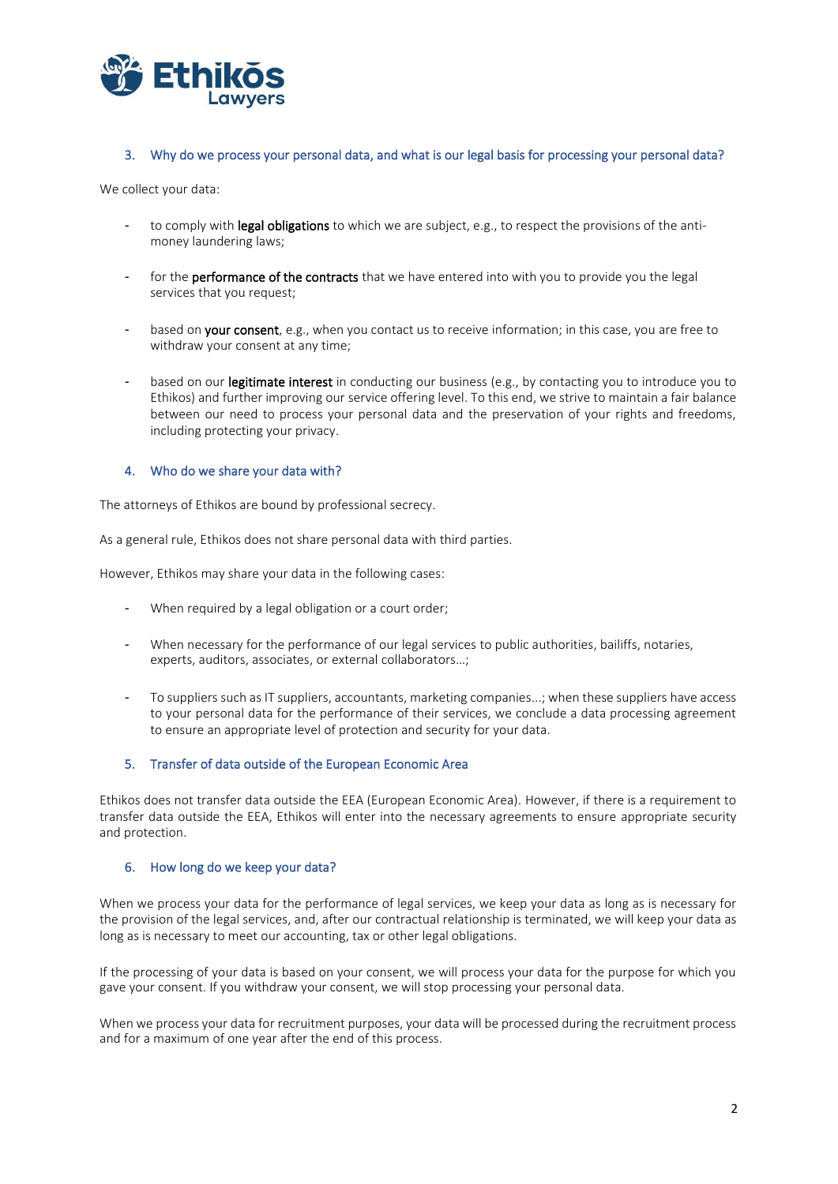

#### 3. Why do we process your personal data, and what is our legal basis for processing your personal data?

We collect your data:

- to comply with legal obligations to which we are subject, e.g., to respect the provisions of the antimoney laundering laws;
- for the **performance of the contracts** that we have entered into with you to provide you the legal services that you request;
- based on your consent, e.g., when you contact us to receive information; in this case, you are free to withdraw your consent at any time;
- based on our legitimate interest in conducting our business (e.g., by contacting you to introduce you to Ethikos) and further improving our service offering level. To this end, we strive to maintain a fair balance between our need to process your personal data and the preservation of your rights and freedoms, including protecting your privacy.

#### 4. Who do we share your data with?

The attorneys of Ethikos are bound by professional secrecy.

As a general rule, Ethikos does not share personal data with third parties.

However, Ethikos may share your data in the following cases:

- When required by a legal obligation or a court order;
- When necessary for the performance of our legal services to public authorities, bailiffs, notaries, experts, auditors, associates, or external collaborators…;
- To suppliers such as IT suppliers, accountants, marketing companies...; when these suppliers have access to your personal data for the performance of their services, we conclude a data processing agreement to ensure an appropriate level of protection and security for your data.

# 5. Transfer of data outside of the European Economic Area

Ethikos does not transfer data outside the EEA (European Economic Area). However, if there is a requirement to transfer data outside the EEA, Ethikos will enter into the necessary agreements to ensure appropriate security and protection.

#### 6. How long do we keep your data?

When we process your data for the performance of legal services, we keep your data as long as is necessary for the provision of the legal services, and, after our contractual relationship is terminated, we will keep your data as long as is necessary to meet our accounting, tax or other legal obligations.

If the processing of your data is based on your consent, we will process your data for the purpose for which you gave your consent. If you withdraw your consent, we will stop processing your personal data.

When we process your data for recruitment purposes, your data will be processed during the recruitment process and for a maximum of one year after the end of this process.